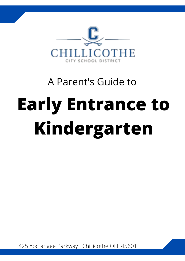

# A Parent's Guide to **Early Entrance to Kindergarten**

425 Yoctangee Parkway Chillicothe OH 45601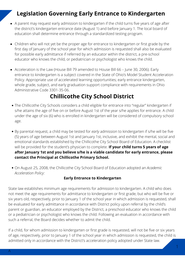## **Legislation Governing Early Entrance to Kindergarten**

- A parent may request early admission to kindergarten if the child turns five years of age after the district's kindergarten entrance date (August 1) and before January 1. The local board of education shall determine entrance through a standardized testing program.
- Children who will not yet be the proper age for entrance to kindergarten or first grade by the first day of January of the school year for which admission is requested shall also be evaluated for possible early admittance if referred by an educator within the district, a pre-school educator who knows the child, or pediatrician or psychologist who knows the child.
- Acceleration is the Law (House Bill 79 amended to House Bill 66 June 30, 2006). Early entrance to kindergarten is a subject covered in the State of Ohio's Model Student Acceleration Policy. Appropriate use of accelerated learning opportunities; early entrance kindergarten, whole grade, subject, and early graduation support compliance with requirements in Ohio Administrative Code 3301-35-06.

# **Chillicothe City School District**

- The Chillicothe City Schools considers a child eligible for entrance into "regular" kindergarten if s/he attains the age of five on or before August 1st of the year s/he applies for entrance. A child under the age of six (6) who is enrolled in kindergarten will be considered of compulsory school age.
- By parental request, a child may be tested for *early* admission to kindergarten if s/he will be five (5) years of age between August 1st and January 1st, inclusive, and exhibit the mental, social and emotional standards established by the Chillicothe City School Board of Education. A checklist will be provided for the student's physician to complete. **If your child turns 5 years of age after January 1st and you believe s/he is a viable candidate for early entrance, please contact the Principal at Chillicothe Primary School.**
- On August 25, 2008, the Chillicothe City School Board of Education adopted an *Academic Acceleration Policy:*

#### **Early Entrance to Kindergarten**

State law establishes minimum age requirements for admission to kindergarten. A child who does not meet the age requirements for admittance to kindergarten or first grade, but who will be five or six years old, respectively, prior to January 1 of the school year in which admission is requested, shall be evaluated for early admittance in accordance with District policy upon referral by the child's parent or guardian, an educator employed by the District, a preschool educator who knows the child or a pediatrician or psychologist who knows the child. Following an evaluation in accordance with such a referral, the Board decides whether to admit the child.

If a child, for whom admission to kindergarten or first grade is requested, will not be five or six years of age, respectively, prior to January 1 of the school year in which admission is requested, the child is admitted only in accordance with the District's acceleration policy adopted under State law.

1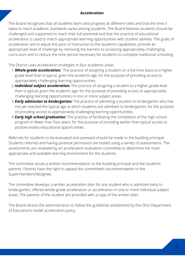#### **Acceleration**

The Board recognizes that all students learn and progress at different rates and that the time it takes to reach academic standards varies among students. The Board believes students should be challenged and supported to reach their full potential and that the practice of educational acceleration is used to match appropriate learning opportunities with student abilities. The goals of acceleration are to adjust the pace of instruction to the student's capabilities, provide an appropriate level of challenge by removing the barriers to accessing appropriately challenging curriculum and to reduce the time period necessary for students to complete traditional schooling.

The District uses acceleration strategies in four academic areas.

- *Whole-grade acceleration:* The practice of assigning a student on a full-time basis to a higher 1. grade level than is typical, given the student's age, for the purpose of providing access to appropriately challenging learning opportunities.
- *Individual subject acceleration:* The practice of assigning a student to a higher grade level 2. than is typical, given the student's age, for the purpose of providing access to appropriately challenging learning opportunities in one or more subject areas.
- *Early admission to kindergarten:* The practice of admitting a student to kindergarten who has 3. not yet reached the typical age at which students are admitted to kindergarten, for the purpose of providing access to appropriately challenging learning opportunities.
- *Early high school graduation:* The practice of facilitating the completion of the high school 4. program in fewer than four years, for the purpose of providing earlier than typical access to postsecondary educational opportunities.

Referrals for students to be evaluated and assessed should be made to the building principal. Students referred and having parental permission are tested using a variety of assessments. The assessments are reviewed by an acceleration evaluation committee to determine the most appropriate and available learning environment for the students.

The committee issues a written recommendation to the building principal and the students' parents. Parents have the right to appeal the committee's recommendation to the Superintendent/designee.

The committee develops a written acceleration plan for any student who is admitted early to kindergarten, offered whole-grade acceleration or acceleration in one or more individual subject areas. The parents of the student are provided with a copy of the written plan.

The Board directs the administration to follow the guidelines established by the Ohio Department of Education's model acceleration policy.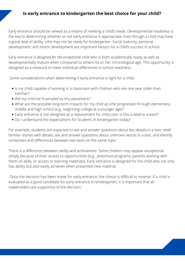#### **Is early entrance to kindergarten the best choice for your child?**

Early entrance should be viewed as a means of meeting a child's *needs*. Developmental readiness is the key to determining whether or not early entrance is appropriate. Even though a child may have a great deal of ability, s/he may not be ready for kindergarten. Social maturity, personal development, and motor development are important factors for a child's success in school.

Early entrance is*designed for the exceptional child* who is both academically ready as well as developmentally mature when compared to others his or her chronological age. This opportunity is designed as a measure to meet individual differences in school readiness.

Some considerations when determining if early entrance is right for a child:

- Is my child capable of working in a classroom with children who are one year older than him/her?
- Will my child be frustrated by this placement?
- What are the possible long-term impacts for my child as s/he progresses through elementary, middle and high school (e.g., beginning college at a younger age)?
- Early entrance is not designed as a replacement for child care. Is this a *need* or a *want*?
- Do I understand the expectations for students in kindergarten today?

For example, students are expected to ask and answer questions about key details in a text, retell familiar stories with details, ask and answer questions about unknown words in a text, and identify similarities and differences between two texts on the same topic.

There is a difference between *ability* and *achievement*. Some children may appear exceptional simply because of their access to opportunities (e.g., preschool programs, parents working with them on skills, or access to learning materials). Early entrance is designed for the child who not only has ability but also easily achieves when presented new material.

Once the decision has been made for early entrance, the choice is difficult to reverse. If a child is evaluated as a good candidate for early entrance to kindergarten, it is important that all stakeholders are supportive of the decision.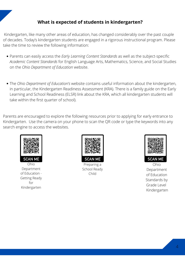#### **What is expected of students in kindergarten?**

Kindergarten, like many other areas of education, has changed considerably over the past couple of decades. Today's kindergarten students are engaged in a rigorous instructional program. Please take the time to review the following information:

- Parents can easily access the *Early Learning Content Standards* as well as the subject-specific *Academic Content Standards* for English Language Arts, Mathematics, Science, and Social Studies on the *Ohio Department of Education* website.
- The *Ohio Department of Education's* website contains useful information about the kindergarten, in particular, the Kindergarten Readiness Assessment (KRA). There is a family guide on the Early Learning and School Readiness (ELSR) link about the KRA, which all kindergarten students will take within the first quarter of school).

Parents are encouraged to explore the following resources prior to applying for early entrance to Kindergarten. Use the camera on your phone to scan the QR code or type the keywords into any search engine to access the websites.



Ohio Department of Education - Getting Ready for Kindergarten



Preparing a School Ready Child



Ohio Department of Education Standards by Grade Level Kindergarten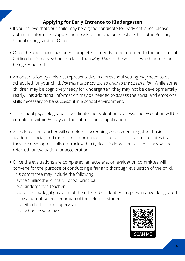### **Applying for Early Entrance to Kindergarten**

- If you believe that your child may be a good candidate for early entrance, please obtain an information/application packet from the principal at Chillicothe Primary School or Registration Office.
- Once the application has been completed, it needs to be returned to the principal of Chillicothe Primary School no later than *May 15th,* in the year for which admission is being requested.
- An observation by a district representative in a preschool setting *may* need to be scheduled for your child. *Parents will be contacted prior to the observation*. While some children may be cognitively ready for kindergarten, they may not be developmentally ready. This additional information may be needed to assess the social and emotional skills necessary to be successful in a school environment.
- The school psychologist will coordinate the evaluation process. The evaluation will be completed within 60 days of the submission of application.
- A kindergarten teacher will complete a screening assessment to gather basic academic, social, and motor skill information. If the student's score indicates that they are developmentally on-track with a typical kindergarten student, they will be referred for evaluation for acceleration.
- Once the evaluations are completed, an acceleration evaluation committee will convene for the purpose of conducting a fair and thorough evaluation of the child. This committee may include the following:
	- a.the Chillicothe Primary School principal
	- b.a kindergarten teacher
	- c.a parent *or* legal guardian of the referred student *or* a representative designated by a parent *or* legal guardian of the referred student
	- d.a gifted education supervisor
	- e.a school psychologist

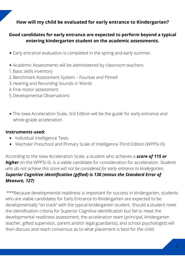#### **How will my child be evaluated for early entrance to Kindergarten?**

#### **Good candidates for early entrance are expected to perform beyond a typical entering kindergarten student on the academic assessments.**

- Early entrance evaluation is completed in the spring and early summer.
- Academic Assessments will be administered by classroom teachers
- 1.Basic skills inventory
- 2.Benchmark Assessment System Fountas and Pinnell
- 3. Hearing and Recording Sounds in Words
- 4. Fine motor assessment
- 5.Developmental Observations
- The Iowa Acceleration Scale, 3rd Edition will be the guide for early entrance and whole-grade acceleration.

#### **Instruments used:**

- Individual Intelligence Tests
- Wechsler Preschool and Primary Scale of Intelligence-Third Edition (WPPSI-III)

According to the Iowa Acceleration Scale, a student who achieves a *score of 115 or higher* on the WPPSI-III, is a viable candidate for consideration for acceleration. *Students who do not achieve this score will not be considered for early entrance to kindergarten. Superior Cognitive identification (gifted) is 130 (minus the Standard Error of Measure, 127)*

\*\*\*Because developmental readiness is important for success in kindergarten, students who are viable candidates for Early Entrance to Kindergarten are expected to be developmentally "on track" with the typical kindergarten student. Should a student meet the identification criteria for Superior Cognitive identification but fail to meet the developmental readiness assessment, the acceleration team (principal, kindergarten teacher, gifted supervisor, parent and/or legal guardian(s), and school psychologist) will then discuss and reach consensus as to what placement is best for the child.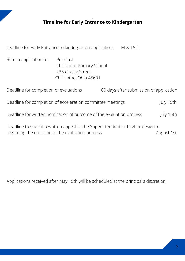### TIMELINE **Timeline for Early Entrance to Kindergarten**

| Deadline for Early Entrance to kindergarten applications                                                                                       |                                                                                         |  | May 15th                                |  |
|------------------------------------------------------------------------------------------------------------------------------------------------|-----------------------------------------------------------------------------------------|--|-----------------------------------------|--|
| Return application to:                                                                                                                         | Principal<br>Chillicothe Primary School<br>235 Cherry Street<br>Chillicothe, Ohio 45601 |  |                                         |  |
| Deadline for completion of evaluations                                                                                                         |                                                                                         |  | 60 days after submission of application |  |
| Deadline for completion of acceleration committee meetings<br>July 15th                                                                        |                                                                                         |  |                                         |  |
| Deadline for written notification of outcome of the evaluation process<br>July 15th                                                            |                                                                                         |  |                                         |  |
| Deadline to submit a written appeal to the Superintendent or his/her designee<br>regarding the outcome of the evaluation process<br>August 1st |                                                                                         |  |                                         |  |

Applications received after May 15th will be scheduled at the principal's discretion.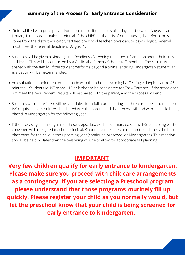#### **Summary of the Process for Early Entrance Consideration**

- Referral filed with principal and/or coordinator. If the child's birthday falls between August 1 and January 1, the parent makes a referral. If the child's birthday is after January 1, the referral must come from the district educator, certified preschool teacher, physician, or psychologist. Referral must meet the referral deadline of August 1.<br>Students will be given a Kindergarten Readiness Screening to gather information about their current •
- skill level. This will be conducted by a Chillicothe Primary School staff member. The results will be shared with the family. If the student performs beyond a typical entering kindergarten student, an evaluation will be recommended.
- An evaluation appointment will be made with the school psychologist. Testing will typically take 45 minutes. Students MUST score 115 or higher to be considered for Early Entrance. If the score does not meet the requirement, results will be shared with the parent, and the process will end.
- Students who score 115+ will be scheduled for a full team meeting. If the score does not meet the IAS requirement, results will be shared with the parent, and the process will end with the child being placed in Kindergarten for the following year.
- If the process goes through all of these steps, data will be summarized on the IAS.A meeting will be convened with the gifted teacher, principal, Kindergarten teacher, and parents to discuss the best placement for the child in the upcoming year (continued preschool or Kindergarten). This meeting should be held no later than the beginning of June to allow for appropriate fall planning.

#### **IMPORTANT**

**Very few children qualify for early entrance to kindergarten. Please make sure you proceed with childcare arrangements as a contingency. If you are selecting a Preschool program please understand that those programs routinely fill up quickly. Please register your child as you normally would, but let the preschool know that your child is being screened for early entrance to kindergarten.**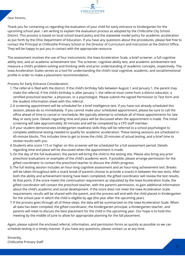

#### Dear Parents,

Thank you for contacting us regarding the evaluation of your child for early entrance to Kindergarten for the upcoming school year. I am writing to explain the evaluation process as adopted by the Chillicothe City School District. This process is based on local school board policy and the statewide model policy for academic acceleration as put forth by the Ohio Department of Education. If you have any questions about the procedures, please feel free to contact the Principal at Chillicothe Primary School or the Director of Curriculum and Instruction at the District Office. They will be happy to put you in contact with the appropriate resource.

The assessment involves the use of four instruments: the Iowa Acceleration Scale, a brief screener, a full cognitive ability test, and an academic achievement test. The screener, cognitive ability test, and academic achievement test measure a child's problem-solving and thinking skills and prior understanding of academic concepts, respectively. The Iowa Acceleration Scales serves as a tool for understanding the child's total cognitive, academic, and social/emotional profile in order to make a placement recommendation.

Process for Early Entrance Consideration:

- The referral is filed with the district. If the child's birthday falls between August 1 and January 1, the parent may 1. make the referral. If the child's birthday is after January 1, the referral must come from a district educator, a certified preschool teacher, a physician, or a psychologist. Please submit the signed Permission to Test form and the student information sheet with this referral.
- A screening appointment will be scheduled for a brief intelligence test. If you have not already scheduled this 2. session, please do so immediately. If you cannot make your scheduled appointment, please be sure to call the office ahead of time to cancel or reschedule. We typically attempt to schedule all of these appointments for late May or early June. Details regarding time and place will be discussed when the appointment is made. The initial screening will take approximately 30 minutes and will be completed by a CPS staff member.
- If your student demonstrates kindergarten readiness skills they will be referred to a school psychologist to 3. complete additional testing needed to qualify for academic acceleration. These testing sessions are scheduled in 45-minute blocks. This includes time to get to know the child, 20 minutes of actual testing, and a brief time to review results with you.
- 4. Students who score 115 or higher on this screener will be scheduled for a full assessment period. Details regarding time and place will be discussed when the appointment is made.
- 5.On the day of the full evaluation, the parent will bring the child to the testing site. Please also bring any prior preschool evaluations or examples of the child's academic work. If possible, please arrange permission for the gifted coordinator to contact the preschool teacher to discuss the child's progress.
- The full testing session includes an hour-long cognitive assessment and an hour-long achievement test. Breaks 6. will be taken throughout with a snack break (if parents choose to provide a snack) in between the two tests. After both the ability and achievement testing have been completed, the gifted coordinator will review the test results. At that point, if the score meets the continuation requirement as stipulated by the Iowa Acceleration Scale, the gifted coordinator will contact the preschool teacher, with the parent's permission, to gain additional information about the child's academic and social development. If the score does not meet the Iowa Acceleration Scale requirement, results will be shared with the parent, and the process will end with the child placed in Kindergarten for the school year in which the child is eligible by age (the year after the upcoming year).
- If the process goes through all of these steps, the data will be summarized on the Iowa Acceleration Scale. When 7. all data has been compiled, the gifted coordinator, the Kindergarten principal, a Kindergarten teacher, and parents will meet to discuss the best placement for the child in the upcoming year. Our hope is to hold this meeting by the middle of June to allow for appropriate planning for the fall placement.

Again, please submit the enclosed referral, information, and permission forms as quickly as possible so we can schedule testing in a timely manner. If you have any questions, please contact us at any time.

Sincerely, Chillicothe Primary Staff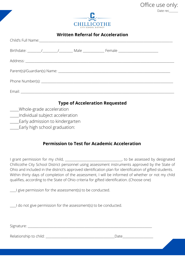

Office use only:

Date rec

| <b>Written Referral for Acceleration</b> |  |  |  |                                              |  |
|------------------------------------------|--|--|--|----------------------------------------------|--|
|                                          |  |  |  | Child's Full Name: Manual Child's Full Name: |  |
|                                          |  |  |  |                                              |  |
|                                          |  |  |  |                                              |  |
|                                          |  |  |  |                                              |  |
|                                          |  |  |  |                                              |  |
|                                          |  |  |  |                                              |  |
| <b>Type of Acceleration Requested</b>    |  |  |  |                                              |  |

- \_\_\_\_\_Whole-grade acceleration
- \_\_\_\_\_Individual subject acceleration
- **\_\_\_\_\_Early admission to kindergarten**
- **Larly high school graduation:**

#### **Permission to Test for Academic Acceleration**

I grant permission for my child, \_\_\_\_\_\_\_\_\_\_\_\_\_\_\_\_\_\_\_\_\_\_\_\_\_\_\_\_\_\_\_\_\_, to be assessed by designated Chillicothe City School District personnel using assessment instruments approved by the State of Ohio and included in the district's approved identification plan for identification of gifted students. Within thirty days of completion of the assessment, I will be informed of whether or not my child qualifies, according to the State of Ohio criteria for gifted identification. (Choose one)

\_\_\_\_I give permission for the assessment(s) to be conducted.

\_\_\_\_I do not give permission for the assessment(s) to be conducted.

Signature: \_\_\_\_\_\_\_\_\_\_\_\_\_\_\_\_\_\_\_\_\_\_\_\_\_\_\_\_\_\_\_\_\_\_\_\_\_\_\_\_\_\_\_\_\_\_\_\_\_\_\_\_\_\_\_\_\_\_\_\_\_\_\_\_\_\_\_\_\_\_\_\_\_\_\_\_\_\_\_\_\_

Relationship to child: \_\_\_\_\_\_\_\_\_\_\_\_\_\_\_\_\_\_\_\_\_\_\_\_\_\_\_\_\_\_\_\_\_\_\_\_\_\_\_\_\_\_\_\_\_Date\_\_\_\_\_\_\_\_\_\_\_\_\_\_\_\_\_\_\_\_

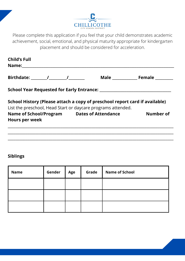

Please complete this application if you feel that your child demonstrates academic achievement, social, emotional, and physical maturity appropriate for kindergarten placement and should be considered for acceleration.

| List the preschool, Head Start or daycare programs attended. | School History (Please attach a copy of preschool report card if available) |
|--------------------------------------------------------------|-----------------------------------------------------------------------------|
| Name of School/Program Dates of Attendance                   | Number of                                                                   |
|                                                              |                                                                             |

#### **Siblings**

| <b>Name</b> | Gender | Age | Grade | <b>Name of School</b> |
|-------------|--------|-----|-------|-----------------------|
|             |        |     |       |                       |
|             |        |     |       |                       |
|             |        |     |       |                       |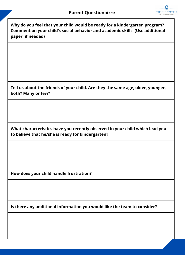

**Why do you feel that your child would be ready for a kindergarten program? Comment on your child's social behavior and academic skills. (Use additional paper, if needed)**

**Tell us about the friends of your child. Are they the same age, older, younger, both? Many or few?**

**What characteristics have you recently observed in your child which lead you to believe that he/she is ready for kindergarten?**

**How does your child handle frustration?**

**Is there any additional information you would like the team to consider?**